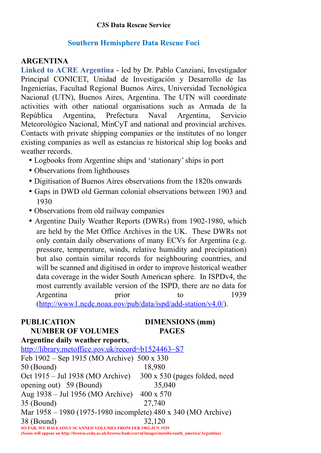# **C3S Data Rescue Service**

# **Southern Hemisphere Data Rescue Foci**

# **ARGENTINA**

**Linked to ACRE Argentina** - led by Dr. Pablo Canziani, Investigador Principal CONICET, Unidad de Investigación y Desarrollo de las Ingenierías, Facultad Regional Buenos Aires, Universidad Tecnológica Nacional (UTN), Buenos Aires, Argentina. The UTN will coordinate activities with other national organisations such as Armada de la República Argentina, Prefectura Naval Argentina, Servicio Meteorológico Nacional, MinCyT and national and provincial archives. Contacts with private shipping companies or the institutes of no longer existing companies as well as estancias re historical ship log books and weather records.

- Logbooks from Argentine ships and 'stationary' ships in port
- Observations from lighthouses
- Digitisation of Buenos Aires observations from the 1820s onwards
- Gaps in DWD old German colonial observations between 1903 and 1930
- Observations from old railway companies
- Argentine Daily Weather Reports (DWRs) from 1902-1980, which are held by the Met Office Archives in the UK. These DWRs not only contain daily observations of many ECVs for Argentina (e.g. pressure, temperature, winds, relative humidity and precipitation) but also contain similar records for neighbouring countries, and will be scanned and digitised in order to improve historical weather data coverage in the wider South American sphere. In ISPDv4, the most currently available version of the ISPD, there are no data for Argentina prior to 1939 (http://www1.ncdc.noaa.gov/pub/data/ispd/add-station/v4.0/).

### PUBLICATION **DIMENSIONS** (mm)  **NUMBER OF VOLUMES PAGES**

| Argentine daily weather reports,                                                                                                                                               |                               |
|--------------------------------------------------------------------------------------------------------------------------------------------------------------------------------|-------------------------------|
| http://library.metoffice.gov.uk/record=b1524463~S7                                                                                                                             |                               |
| Feb 1902 – Sep 1915 (MO Archive) 500 x 330                                                                                                                                     |                               |
| $50$ (Bound)                                                                                                                                                                   | 18,980                        |
| Oct 1915 – Jul 1938 (MO Archive)                                                                                                                                               | 300 x 530 (pages folded, need |
| opening out) 59 (Bound)                                                                                                                                                        | 35,040                        |
| Aug 1938 – Jul 1956 (MO Archive)                                                                                                                                               | $400 \times 570$              |
| 35 (Bound)                                                                                                                                                                     | 27,740                        |
| Mar 1958 – 1980 (1975-1980 incomplete) 480 x 340 (MO Archive)                                                                                                                  |                               |
| 38 (Bound)                                                                                                                                                                     | 32,120                        |
| <b>SO FAR, WE HAVE ONLY SCANNED VOLUMES FROM FEB 1902-JUN 1929</b><br>(Scans will appear on http://browse.ceda.ac.uk/browse/badc/corral/images/metobs/south america/Argentina) |                               |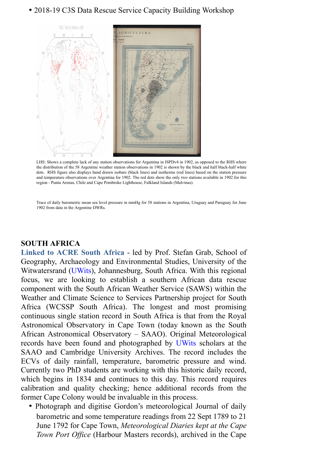# • 2018-19 C3S Data Rescue Service Capacity Building Workshop



 LHS: Shows a complete lack of any station observations for Argentina in ISPDv4 in 1902, as opposed to the RHS where the distribution of the 58 Argentine weather station observations in 1902 is shown by the black and half black-half white dots. RHS figure also displays hand drawn isobars (black lines) and isotherms (red lines) based on the station pressure and temperature observations over Argentina for 1902. The red dots show the only two stations available in 1902 for this region - Punta Arenas, Chile and Cape Pembroke Lighthouse, Falkland Islands (Malvinas).

Trace of daily barometric mean sea level pressure in mmHg for 58 stations in Argentina, Uruguay and Paraguay for June 1902 from data in the Argentine DWRs.

# **SOUTH AFRICA**

**Linked to ACRE South Africa** - led by Prof. Stefan Grab, School of Geography, Archaeology and Environmental Studies, University of the Witwatersrand (UWits), Johannesburg, South Africa. With this regional focus, we are looking to establish a southern African data rescue component with the South African Weather Service (SAWS) within the Weather and Climate Science to Services Partnership project for South Africa (WCSSP South Africa). The longest and most promising continuous single station record in South Africa is that from the Royal Astronomical Observatory in Cape Town (today known as the South African Astronomical Observatory – SAAO). Original Meteorological records have been found and photographed by UWits scholars at the SAAO and Cambridge University Archives. The record includes the ECVs of daily rainfall, temperature, barometric pressure and wind. Currently two PhD students are working with this historic daily record, which begins in 1834 and continues to this day. This record requires calibration and quality checking; hence additional records from the former Cape Colony would be invaluable in this process.

• Photograph and digitise Gordon's meteorological Journal of daily barometric and some temperature readings from 22 Sept 1789 to 21 June 1792 for Cape Town, *Meteorological Diaries kept at the Cape Town Port Office* (Harbour Masters records), archived in the Cape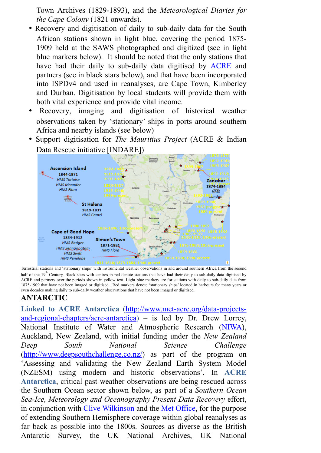Town Archives (1829-1893), and the *Meteorological Diaries for the Cape Colony* (1821 onwards).

- Recovery and digitisation of daily to sub-daily data for the South African stations shown in light blue, covering the period 1875- 1909 held at the SAWS photographed and digitized (see in light blue markers below). It should be noted that the only stations that have had their daily to sub-daily data digitised by ACRE and partners (see in black stars below), and that have been incorporated into ISPDv4 and used in reanalyses, are Cape Town, Kimberley and Durban. Digitisation by local students will provide them with both vital experience and provide vital income.
- Recovery, imaging and digitisation of historical weather observations taken by 'stationary' ships in ports around southern Africa and nearby islands (see below)
- Support digitisation for *The Mauritius Project* (ACRE & Indian Data Rescue initiative [INDARE])



Terrestrial stations and 'stationary ships' with instrumental weather observations in and around southern Africa from the second half of the  $19<sup>th</sup>$  Century. Black stars with centres in red denote stations that have had their daily to sub-daily data digitised by ACRE and partners over the periods shown in yellow text. Light blue markers are for stations with daily to sub-daily data from 1875-1909 that have not been imaged or digitised. Red markers denote 'stationary ships' located in harbours for many years or even decades making daily to sub-daily weather observations that have not been imaged or digitised.

# **ANTARCTIC**

**Linked to ACRE Antarctica** (http://www.met-acre.org/data-projectsand-regional-chapters/acre-antarctica) – is led by Dr. Drew Lorrey, National Institute of Water and Atmospheric Research (NIWA), Auckland, New Zealand, with initial funding under the *New Zealand Deep South National Science Challenge* (http://www.deepsouthchallenge.co.nz/) as part of the program on 'Assessing and validating the New Zealand Earth System Model (NZESM) using modern and historic observations'. In **ACRE Antarctica**, critical past weather observations are being rescued across the Southern Ocean sector shown below, as part of a *Southern Ocean Sea-Ice, Meteorology and Oceanography Present Data Recovery* effort, in conjunction with Clive Wilkinson and the Met Office, for the purpose of extending Southern Hemisphere coverage within global reanalyses as far back as possible into the 1800s. Sources as diverse as the British Antarctic Survey, the UK National Archives, UK National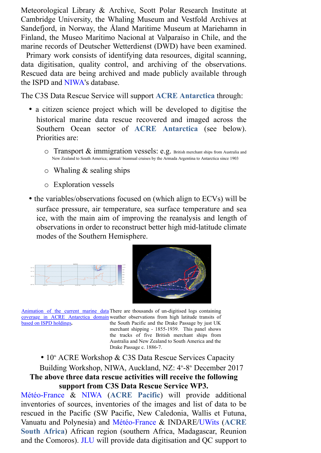Meteorological Library & Archive, Scott Polar Research Institute at Cambridge University, the Whaling Museum and Vestfold Archives at Sandefjord, in Norway, the Åland Maritime Museum at Mariehamn in Finland, the Museo Marítimo Nacional at Valparaíso in Chile, and the marine records of Deutscher Wetterdienst (DWD) have been examined.

 Primary work consists of identifying data resources, digital scanning, data digitisation, quality control, and archiving of the observations. Rescued data are being archived and made publicly available through the ISPD and NIWA's database.

The C3S Data Rescue Service will support **ACRE Antarctica** through:

- a citizen science project which will be developed to digitise the historical marine data rescue recovered and imaged across the Southern Ocean sector of **ACRE Antarctica** (see below). Priorities are:
	- $\circ$  Transport  $\&$  immigration vessels: e.g. British merchant ships from Australia and New Zealand to South America; annual/ biannual cruises by the Armada Argentina to Antarctica since 1903
	- $\circ$  Whaling & sealing ships
	- o Exploration vessels
- the variables/observations focused on (which align to ECVs) will be surface pressure, air temperature, sea surface temperature and sea ice, with the main aim of improving the reanalysis and length of observations in order to reconstruct better high mid-latitude climate modes of the Southern Hemisphere.





Animation of the current marine data There are thousands of un-digitised logs containing coverage in ACRE Antarctica domain weather observations from high latitude transits of based on ISPD holdings**.**  the South Pacific and the Drake Passage by just UK merchant shipping - 1855-1939. This panel shows the tracks of five British merchant ships from Australia and New Zealand to South America and the

•  $10<sup>th</sup>$  ACRE Workshop & C3S Data Rescue Services Capacity Building Workshop, NIWA, Auckland, NZ: 4<sup>th</sup>-8<sup>th</sup> December 2017 **The above three data rescue activities will receive the following support from C3S Data Rescue Service WP3.**

Drake Passage c. 1886-7.

Météo-France & NIWA (**ACRE Pacific**) will provide additional inventories of sources, inventories of the images and list of data to be rescued in the Pacific (SW Pacific, New Caledonia, Wallis et Futuna, Vanuatu and Polynesia) and Météo-France & INDARE/UWits (**ACRE South Africa**) African region (southern Africa, Madagascar, Reunion and the Comoros). JLU will provide data digitisation and QC support to